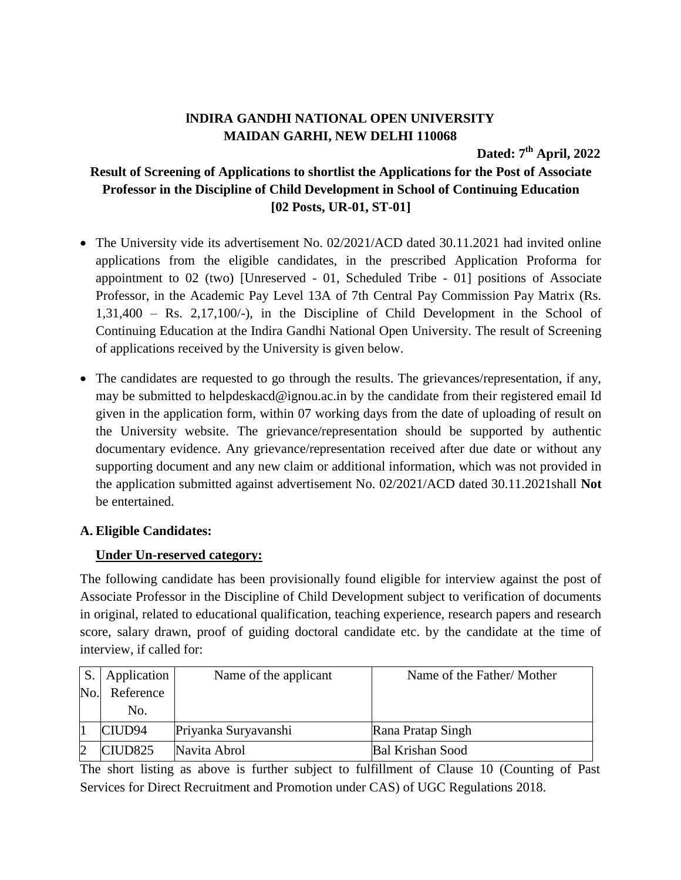## **lNDIRA GANDHI NATIONAL OPEN UNIVERSITY MAIDAN GARHI, NEW DELHI 110068**

**Dated: 7 th April, 2022**

# **Result of Screening of Applications to shortlist the Applications for the Post of Associate Professor in the Discipline of Child Development in School of Continuing Education [02 Posts, UR-01, ST-01]**

- The University vide its advertisement No. 02/2021/ACD dated 30.11.2021 had invited online applications from the eligible candidates, in the prescribed Application Proforma for appointment to 02 (two) [Unreserved - 01, Scheduled Tribe - 01] positions of Associate Professor, in the Academic Pay Level 13A of 7th Central Pay Commission Pay Matrix (Rs. 1,31,400 – Rs. 2,17,100/-), in the Discipline of Child Development in the School of Continuing Education at the Indira Gandhi National Open University. The result of Screening of applications received by the University is given below.
- The candidates are requested to go through the results. The grievances/representation, if any, may be submitted to helpdeskacd@ignou.ac.in by the candidate from their registered email Id given in the application form, within 07 working days from the date of uploading of result on the University website. The grievance/representation should be supported by authentic documentary evidence. Any grievance/representation received after due date or without any supporting document and any new claim or additional information, which was not provided in the application submitted against advertisement No. 02/2021/ACD dated 30.11.2021shall **Not** be entertained.

#### **A. Eligible Candidates:**

#### **Under Un-reserved category:**

The following candidate has been provisionally found eligible for interview against the post of Associate Professor in the Discipline of Child Development subject to verification of documents in original, related to educational qualification, teaching experience, research papers and research score, salary drawn, proof of guiding doctoral candidate etc. by the candidate at the time of interview, if called for:

| S.             | Application        | Name of the applicant | Name of the Father/Mother |
|----------------|--------------------|-----------------------|---------------------------|
| N <sub>o</sub> | Reference          |                       |                           |
|                | No.                |                       |                           |
|                | CIUD <sub>94</sub> | Priyanka Suryavanshi  | Rana Pratap Singh         |
|                | CIUD825            | Navita Abrol          | <b>Bal Krishan Sood</b>   |

The short listing as above is further subject to fulfillment of Clause 10 (Counting of Past Services for Direct Recruitment and Promotion under CAS) of UGC Regulations 2018.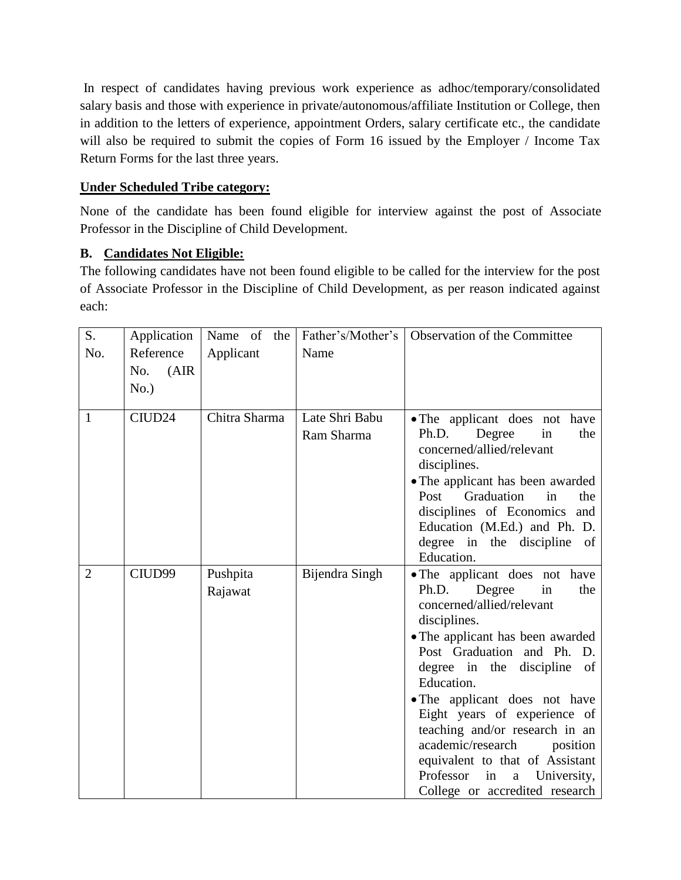In respect of candidates having previous work experience as adhoc/temporary/consolidated salary basis and those with experience in private/autonomous/affiliate Institution or College, then in addition to the letters of experience, appointment Orders, salary certificate etc., the candidate will also be required to submit the copies of Form 16 issued by the Employer / Income Tax Return Forms for the last three years.

### **Under Scheduled Tribe category:**

None of the candidate has been found eligible for interview against the post of Associate Professor in the Discipline of Child Development.

## **B. Candidates Not Eligible:**

The following candidates have not been found eligible to be called for the interview for the post of Associate Professor in the Discipline of Child Development, as per reason indicated against each:

| S.             | Application        | Name of the   |                | Father's/Mother's   Observation of the Committee                |
|----------------|--------------------|---------------|----------------|-----------------------------------------------------------------|
| No.            | Reference          | Applicant     | Name           |                                                                 |
|                | (AIR)<br>No.       |               |                |                                                                 |
|                | No.)               |               |                |                                                                 |
|                |                    |               |                |                                                                 |
| 1              | CIUD <sub>24</sub> | Chitra Sharma | Late Shri Babu | • The applicant does not have                                   |
|                |                    |               | Ram Sharma     | in<br>Ph.D.<br>Degree<br>the                                    |
|                |                    |               |                | concerned/allied/relevant                                       |
|                |                    |               |                | disciplines.                                                    |
|                |                    |               |                | • The applicant has been awarded                                |
|                |                    |               |                | Post<br>Graduation<br>the<br>in<br>disciplines of Economics and |
|                |                    |               |                | Education (M.Ed.) and Ph. D.                                    |
|                |                    |               |                | degree in the discipline<br>of                                  |
|                |                    |               |                | Education.                                                      |
| $\overline{2}$ | CIUD99             | Pushpita      | Bijendra Singh | . The applicant does not have                                   |
|                |                    | Rajawat       |                | Degree<br>Ph.D.<br>the<br>in                                    |
|                |                    |               |                | concerned/allied/relevant                                       |
|                |                    |               |                | disciplines.                                                    |
|                |                    |               |                | • The applicant has been awarded                                |
|                |                    |               |                | Post Graduation and Ph. D.                                      |
|                |                    |               |                | degree in the<br>discipline<br>of<br>Education.                 |
|                |                    |               |                | • The applicant does not have                                   |
|                |                    |               |                | Eight years of experience of                                    |
|                |                    |               |                | teaching and/or research in an                                  |
|                |                    |               |                | academic/research<br>position                                   |
|                |                    |               |                | equivalent to that of Assistant                                 |
|                |                    |               |                | Professor<br>in<br>University,<br>$\mathbf{a}$                  |
|                |                    |               |                | College or accredited research                                  |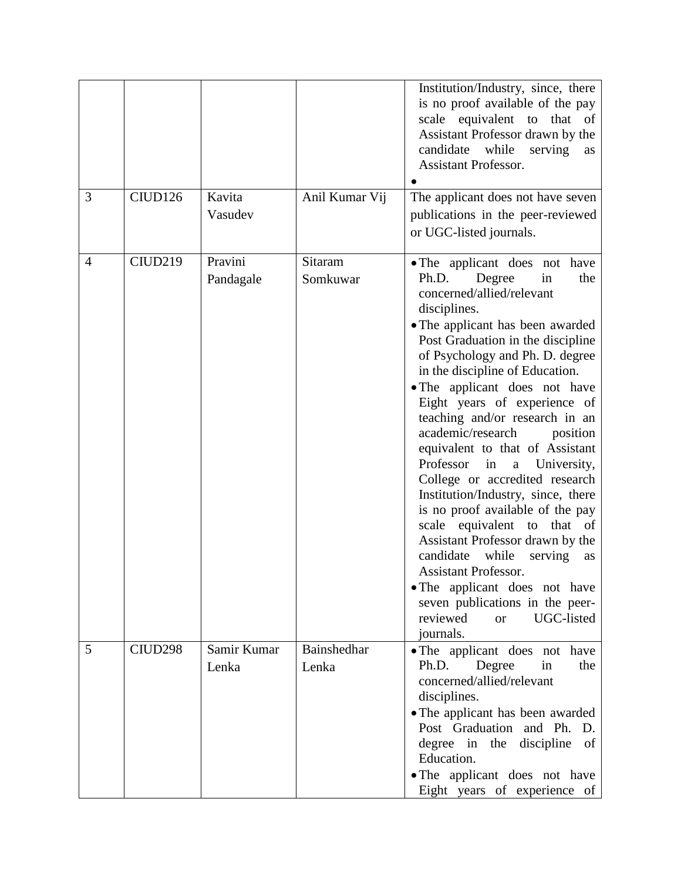|                |         |                      |                      | Institution/Industry, since, there<br>is no proof available of the pay<br>scale equivalent to that of<br>Assistant Professor drawn by the<br>candidate<br>while<br>serving<br>as<br><b>Assistant Professor.</b>                                                                                                                                                                                                                                                                                                                                                                                                                                                                                                                                                                                                                                             |
|----------------|---------|----------------------|----------------------|-------------------------------------------------------------------------------------------------------------------------------------------------------------------------------------------------------------------------------------------------------------------------------------------------------------------------------------------------------------------------------------------------------------------------------------------------------------------------------------------------------------------------------------------------------------------------------------------------------------------------------------------------------------------------------------------------------------------------------------------------------------------------------------------------------------------------------------------------------------|
| 3              | CIUD126 | Kavita<br>Vasudev    | Anil Kumar Vij       | The applicant does not have seven<br>publications in the peer-reviewed<br>or UGC-listed journals.                                                                                                                                                                                                                                                                                                                                                                                                                                                                                                                                                                                                                                                                                                                                                           |
| $\overline{4}$ | CIUD219 | Pravini<br>Pandagale | Sitaram<br>Somkuwar  | . The applicant does not have<br>Ph.D.<br>Degree<br>in<br>the<br>concerned/allied/relevant<br>disciplines.<br>• The applicant has been awarded<br>Post Graduation in the discipline<br>of Psychology and Ph. D. degree<br>in the discipline of Education.<br>• The applicant does not have<br>Eight years of experience of<br>teaching and/or research in an<br>academic/research<br>position<br>equivalent to that of Assistant<br>Professor<br>in<br>$\rm{a}$<br>University,<br>College or accredited research<br>Institution/Industry, since, there<br>is no proof available of the pay<br>scale equivalent to that of<br>Assistant Professor drawn by the<br>candidate<br>while<br>serving<br>as<br><b>Assistant Professor.</b><br>• The applicant does not have<br>seven publications in the peer-<br>reviewed<br>UGC-listed<br><b>or</b><br>journals. |
| 5              | CIUD298 | Samir Kumar<br>Lenka | Bainshedhar<br>Lenka | • The applicant does not have<br>Ph.D.<br>Degree<br>in<br>the<br>concerned/allied/relevant<br>disciplines.<br>• The applicant has been awarded<br>Post Graduation and Ph.<br>D.<br>degree in the discipline<br>of<br>Education.<br>• The applicant does not have<br>Eight years of experience of                                                                                                                                                                                                                                                                                                                                                                                                                                                                                                                                                            |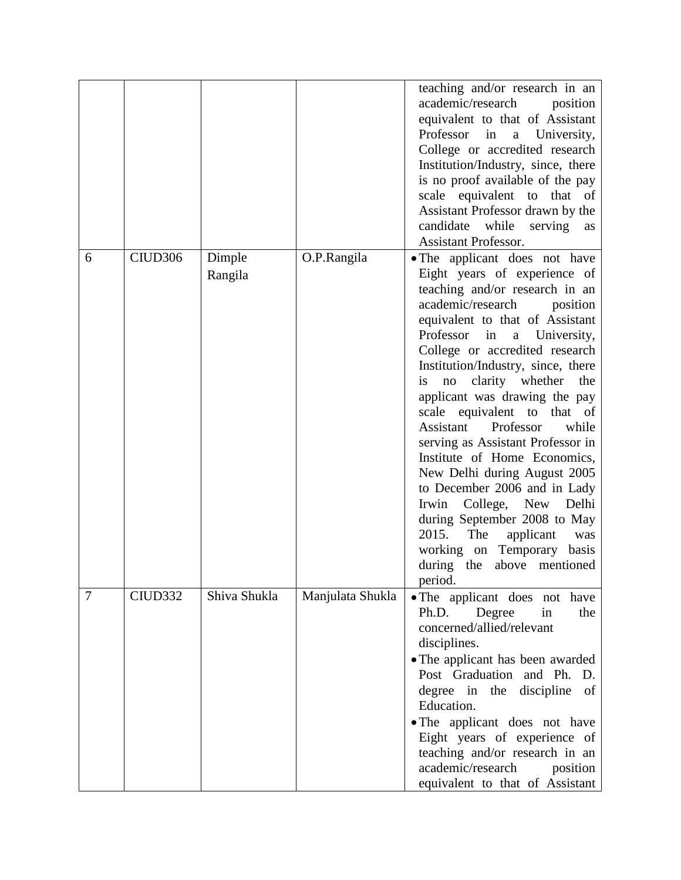|   |                     |                   |                  | teaching and/or research in an<br>academic/research<br>position<br>equivalent to that of Assistant<br>Professor<br>in<br>a University,<br>College or accredited research<br>Institution/Industry, since, there<br>is no proof available of the pay<br>scale equivalent to that of<br>Assistant Professor drawn by the<br>candidate while serving<br>as<br><b>Assistant Professor.</b>                                                                                                                                                                                                                                                                                                                                                                        |
|---|---------------------|-------------------|------------------|--------------------------------------------------------------------------------------------------------------------------------------------------------------------------------------------------------------------------------------------------------------------------------------------------------------------------------------------------------------------------------------------------------------------------------------------------------------------------------------------------------------------------------------------------------------------------------------------------------------------------------------------------------------------------------------------------------------------------------------------------------------|
| 6 | CIUD <sub>306</sub> | Dimple<br>Rangila | O.P.Rangila      | • The applicant does not have<br>Eight years of experience of<br>teaching and/or research in an<br>academic/research<br>position<br>equivalent to that of Assistant<br>Professor<br>in<br>University,<br>$\mathbf{a}$<br>College or accredited research<br>Institution/Industry, since, there<br>clarity whether<br>the<br><i>is</i><br>no<br>applicant was drawing the pay<br>scale equivalent to that of<br>Assistant<br>Professor<br>while<br>serving as Assistant Professor in<br>Institute of Home Economics,<br>New Delhi during August 2005<br>to December 2006 and in Lady<br>Delhi<br>Irwin College, New<br>during September 2008 to May<br>2015.<br>The<br>applicant<br>was<br>working on Temporary basis<br>during the above mentioned<br>period. |
| 7 | CIUD332             | Shiva Shukla      | Manjulata Shukla | • The applicant does not have<br>Ph.D.<br>Degree<br>in<br>the<br>concerned/allied/relevant<br>disciplines.<br>• The applicant has been awarded<br>Post Graduation<br>and Ph.<br>D.<br>degree in the discipline<br>of<br>Education.<br>• The applicant does not have<br>Eight years of experience of<br>teaching and/or research in an<br>academic/research<br>position<br>equivalent to that of Assistant                                                                                                                                                                                                                                                                                                                                                    |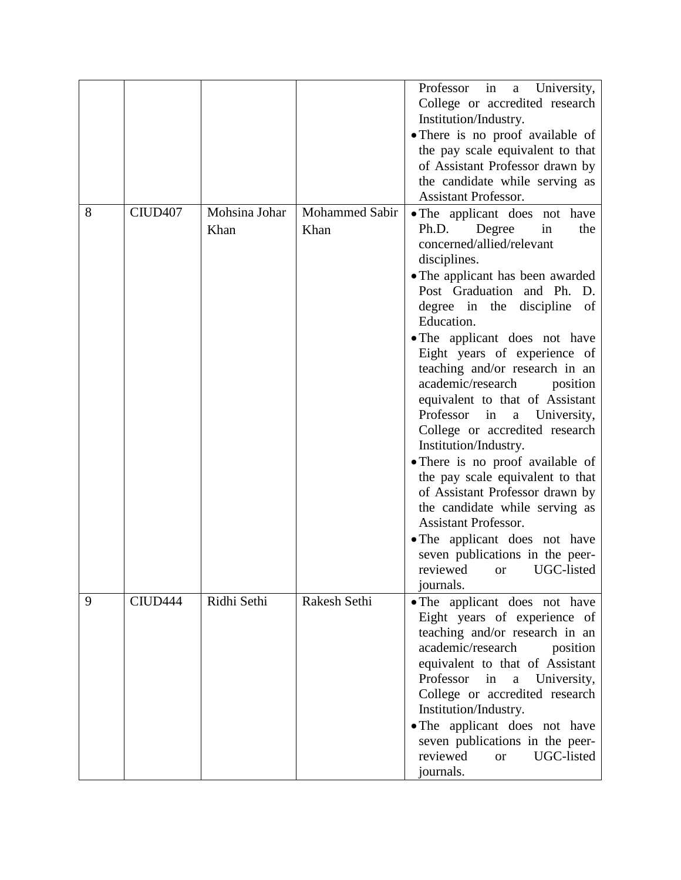|   |                     |                       |                        | University,<br>Professor in<br>a a<br>College or accredited research<br>Institution/Industry.<br>• There is no proof available of<br>the pay scale equivalent to that<br>of Assistant Professor drawn by<br>the candidate while serving as<br><b>Assistant Professor.</b>                                                                                                                                                                                                                                                                                                                                                                                                                                                                                                                                            |
|---|---------------------|-----------------------|------------------------|----------------------------------------------------------------------------------------------------------------------------------------------------------------------------------------------------------------------------------------------------------------------------------------------------------------------------------------------------------------------------------------------------------------------------------------------------------------------------------------------------------------------------------------------------------------------------------------------------------------------------------------------------------------------------------------------------------------------------------------------------------------------------------------------------------------------|
| 8 | CIUD <sub>407</sub> | Mohsina Johar<br>Khan | Mohammed Sabir<br>Khan | • The applicant does not have<br>Ph.D.<br>Degree<br>in<br>the<br>concerned/allied/relevant<br>disciplines.<br>• The applicant has been awarded<br>Post Graduation and Ph. D.<br>degree in the discipline<br>of<br>Education.<br>• The applicant does not have<br>Eight years of experience of<br>teaching and/or research in an<br>academic/research<br>position<br>equivalent to that of Assistant<br>Professor<br>University,<br>in<br>$\mathbf{a}$<br>College or accredited research<br>Institution/Industry.<br>· There is no proof available of<br>the pay scale equivalent to that<br>of Assistant Professor drawn by<br>the candidate while serving as<br><b>Assistant Professor.</b><br>• The applicant does not have<br>seven publications in the peer-<br>UGC-listed<br>reviewed<br><b>or</b><br>journals. |
| 9 | CIUD <sub>444</sub> | Ridhi Sethi           | Rakesh Sethi           | • The applicant does not have<br>Eight years of experience of<br>teaching and/or research in an<br>academic/research<br>position<br>equivalent to that of Assistant<br>Professor<br>in<br>University,<br>$\rm{a}$<br>College or accredited research<br>Institution/Industry.<br>• The applicant does not have<br>seven publications in the peer-<br>reviewed<br>UGC-listed<br><b>or</b><br>journals.                                                                                                                                                                                                                                                                                                                                                                                                                 |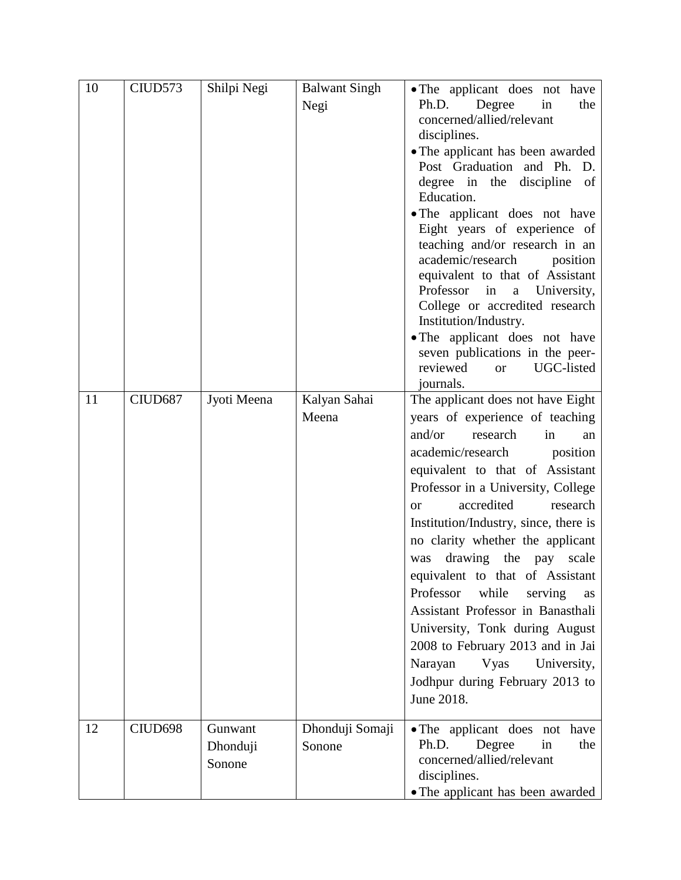| 10 | CIUD573 | Shilpi Negi                   | <b>Balwant Singh</b><br>Negi | • The applicant does not have<br>Ph.D.<br>Degree<br>the<br>in<br>concerned/allied/relevant<br>disciplines.<br>• The applicant has been awarded<br>Post Graduation and Ph. D.<br>degree in the discipline of<br>Education.<br>• The applicant does not have<br>Eight years of experience of<br>teaching and/or research in an<br>academic/research<br>position<br>equivalent to that of Assistant                                                                                                                                                                                                                                               |
|----|---------|-------------------------------|------------------------------|------------------------------------------------------------------------------------------------------------------------------------------------------------------------------------------------------------------------------------------------------------------------------------------------------------------------------------------------------------------------------------------------------------------------------------------------------------------------------------------------------------------------------------------------------------------------------------------------------------------------------------------------|
|    |         |                               |                              | Professor<br>in<br>University,<br>a<br>College or accredited research<br>Institution/Industry.<br>• The applicant does not have<br>seven publications in the peer-<br>reviewed<br>UGC-listed<br><b>or</b><br>journals.                                                                                                                                                                                                                                                                                                                                                                                                                         |
| 11 | CIUD687 | Jyoti Meena                   | Kalyan Sahai<br>Meena        | The applicant does not have Eight<br>years of experience of teaching<br>and/or<br>research<br>in<br>an<br>academic/research<br>position<br>equivalent to that of Assistant<br>Professor in a University, College<br>accredited<br>research<br>$\alpha$<br>Institution/Industry, since, there is<br>no clarity whether the applicant<br>drawing the pay<br>scale<br>was<br>equivalent to that of Assistant<br>Professor<br>while<br>serving<br>as<br>Assistant Professor in Banasthali<br>University, Tonk during August<br>2008 to February 2013 and in Jai<br>Narayan<br>Vyas<br>University,<br>Jodhpur during February 2013 to<br>June 2018. |
| 12 | CIUD698 | Gunwant<br>Dhonduji<br>Sonone | Dhonduji Somaji<br>Sonone    | • The applicant does not have<br>Ph.D.<br>Degree<br>in<br>the<br>concerned/allied/relevant<br>disciplines.<br>• The applicant has been awarded                                                                                                                                                                                                                                                                                                                                                                                                                                                                                                 |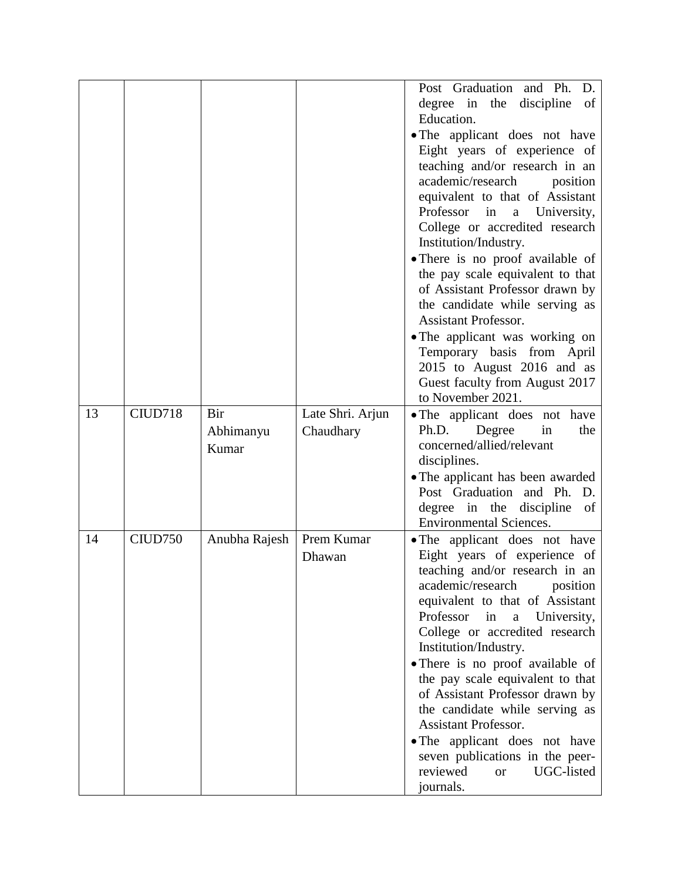|    |         |               |                  | Post Graduation and Ph.<br>D.                                |
|----|---------|---------------|------------------|--------------------------------------------------------------|
|    |         |               |                  | degree in the<br>discipline<br>of                            |
|    |         |               |                  | Education.                                                   |
|    |         |               |                  | • The applicant does not have                                |
|    |         |               |                  | Eight years of experience of                                 |
|    |         |               |                  | teaching and/or research in an                               |
|    |         |               |                  | academic/research<br>position                                |
|    |         |               |                  | equivalent to that of Assistant                              |
|    |         |               |                  | Professor<br>in<br>University,<br>$\mathbf{a}$               |
|    |         |               |                  | College or accredited research                               |
|    |         |               |                  | Institution/Industry.                                        |
|    |         |               |                  | • There is no proof available of                             |
|    |         |               |                  | the pay scale equivalent to that                             |
|    |         |               |                  | of Assistant Professor drawn by                              |
|    |         |               |                  | the candidate while serving as                               |
|    |         |               |                  | <b>Assistant Professor.</b>                                  |
|    |         |               |                  | • The applicant was working on<br>Temporary basis from April |
|    |         |               |                  | 2015 to August 2016 and as                                   |
|    |         |               |                  | Guest faculty from August 2017                               |
|    |         |               |                  | to November 2021.                                            |
| 13 | CIUD718 | Bir           | Late Shri. Arjun | • The applicant does not have                                |
|    |         | Abhimanyu     | Chaudhary        | Degree<br>in<br>Ph.D.<br>the                                 |
|    |         | Kumar         |                  | concerned/allied/relevant                                    |
|    |         |               |                  | disciplines.                                                 |
|    |         |               |                  | • The applicant has been awarded                             |
|    |         |               |                  | Post Graduation and Ph.<br>D.                                |
|    |         |               |                  | degree in the discipline<br>of                               |
|    |         |               |                  | <b>Environmental Sciences.</b>                               |
| 14 | CIUD750 | Anubha Rajesh | Prem Kumar       | • The applicant does not have                                |
|    |         |               | Dhawan           | Eight years of experience of                                 |
|    |         |               |                  | teaching and/or research in an                               |
|    |         |               |                  | academic/research<br>position                                |
|    |         |               |                  | equivalent to that of Assistant                              |
|    |         |               |                  | Professor<br>in<br>$\mathbf{a}$<br>University,               |
|    |         |               |                  | College or accredited research                               |
|    |         |               |                  | Institution/Industry.                                        |
|    |         |               |                  | • There is no proof available of                             |
|    |         |               |                  | the pay scale equivalent to that                             |
|    |         |               |                  | of Assistant Professor drawn by                              |
|    |         |               |                  | the candidate while serving as                               |
|    |         |               |                  | <b>Assistant Professor.</b>                                  |
|    |         |               |                  | • The applicant does not have                                |
|    |         |               |                  | seven publications in the peer-                              |
|    |         |               |                  | reviewed<br>UGC-listed<br><b>or</b>                          |
|    |         |               |                  | journals.                                                    |